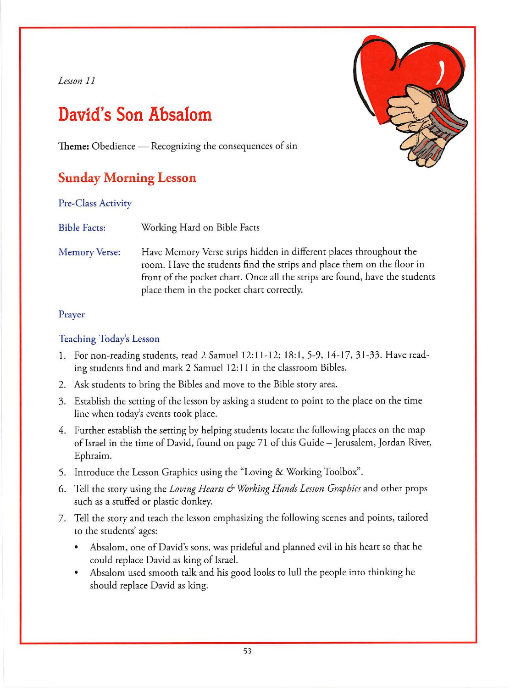## *Lesson 11*

# **David's Son Absalom**

Theme: Obedience — Recognizing the consequences of sin

# **Sunday Morning Lesson**

Pre-Class Activity

Bible Facts: Working Hard on Bible Facts

Memory Verse: Have Memory Verse strips hidden in different places throughout the room. Have the students find the strips and place them on the floor in front of the pocket chart. Once all the strips are found, have the students place them in the pocket chart correctly.

### Prayer

### Teaching Today's Lesson

- 1. For non-reading students, read 2 Samuel 12:11-12; 18:1, 5-9, 14-17, 31-33. Have reading students find and mark 2 Samuel 12: 11 in the classroom Bibles.
- 2. Ask students to bring the Bibles and move to the Bible story area.
- 3. Establish the setting of the lesson by asking a student to point to the place on the time line when today's events took place.
- 4. Further establish the setting by helping students locate the following places on the map of Israel in the time of David, found on page 71 of this Guide - Jerusalem, Jordan River, Ephraim.
- 5. Introduce the Lesson Graphics using the "Loving & Working Toolbox".
- 6. Tell the story using the *Loving Hearts & Working Hands Lesson Graphics* and other props such as a stuffed or plastic donkey.
- 7. Tell the story and teach the lesson emphasizing the following scenes and points, tailored to the students' ages:
	- Absalom, one of David's sons, was prideful and planned evil in his heart so that he could replace David as king of Israel.
	- Absalom used smooth talk and his good looks to lull the people into thinking he should replace David as king.

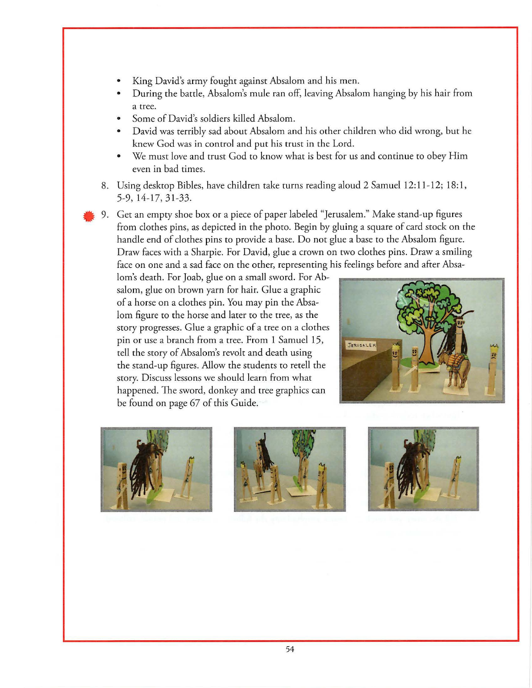- King David's army fought against Absalom and his men.
- During the battle, Absalom's mule ran off, leaving Absalom hanging by his hair from a tree.
- Some of David's soldiers killed Absalom.
- David was terribly sad about Absalom and his other children who did wrong, but he knew God was in control and put his trust in the Lord.
- We must love and trust God to know what is best for us and continue to obey Him even in bad times.
- 8. Using desktop Bibles, have children take turns reading aloud 2 Samuel 12:11-12; 18:1, 5-9, 14-17, 31-33 .
- 9. Get an empty shoe box or a piece of paper labeled "Jerusalem." Make stand-up figures from clothes pins, as depicted in che photo. Begin by gluing a square of card stock on the handle end of clothes pins to provide a base. Do not glue a base to the Absalom figure. Draw faces with a Sharpie. For David, glue a crown on two clothes pins. Draw a smiling face on one and a sad face on the other, representing his feelings before and after Absa-

lom's death. For Joab, glue on a small sword. For Absalom, glue on brown yarn for hair. Glue a graphic of a horse on a clothes pin. You may pin the Absalom figure to the horse and later to the tree, as the story progresses. Glue a graphic of a tree on a clothes pin or use a branch from a tree. From 1 Samuel 15, tell the story of Absalom's revolt and death using the stand-up figures. Allow che students co retell the story. Discuss lessons we should learn from what happened. The sword, donkey and tree graphics can be found on page 67 of this Guide.







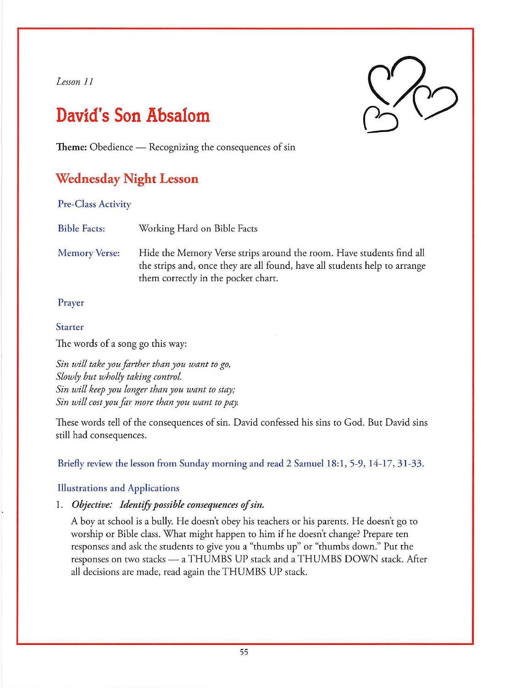### *Lesson 11*

# **David's Son Absalom**



Theme: Obedience — Recognizing the consequences of sin

# **Wednesday Night Lesson**

Pre-Class Activity

Bible Facts: Working Hard on Bible Facts

Memory Verse: Hide the Memory Verse strips around the room. Have students find all the strips and, once they are all found, have all students help to arrange them correctly in the pocket chart.

### Prayer

#### Starter

The words of a song go this way:

*Sin will take you farther than you want to go, Slowly but wholly taking control. Sin will keep you longer than you want to stay; Sin will cost you far more than you want to pay* 

These words tell of the consequences of sin. David confessed his sins to God. But David sins still had consequences.

Briefly review the lesson from Sunday morning and read 2 Samuel 18:1, 5-9, 14-17, 31-33.

### Illustrations and Applications

1. Objective: Identify possible consequences of sin.

A boy at school is a bully. He doesn't obey his teachers or his parents. He doesn't go to worship or Bible class. What might happen to him if he doesn't change? Prepare ten responses and ask the students co give *you* a "thumbs up" or "thumbs down." Put the responses on two stacks - a THUMBS UP stack and a THUMBS DOWN stack. After all decisions are made, read again the THUMBS UP stack.